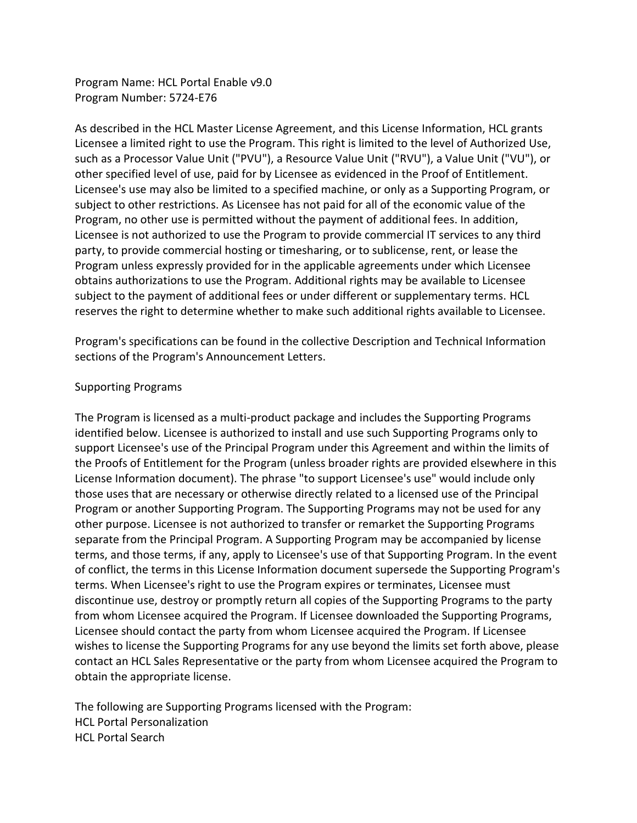Program Name: HCL Portal Enable v9.0 Program Number: 5724-E76

As described in the HCL Master License Agreement, and this License Information, HCL grants Licensee a limited right to use the Program. This right is limited to the level of Authorized Use, such as a Processor Value Unit ("PVU"), a Resource Value Unit ("RVU"), a Value Unit ("VU"), or other specified level of use, paid for by Licensee as evidenced in the Proof of Entitlement. Licensee's use may also be limited to a specified machine, or only as a Supporting Program, or subject to other restrictions. As Licensee has not paid for all of the economic value of the Program, no other use is permitted without the payment of additional fees. In addition, Licensee is not authorized to use the Program to provide commercial IT services to any third party, to provide commercial hosting or timesharing, or to sublicense, rent, or lease the Program unless expressly provided for in the applicable agreements under which Licensee obtains authorizations to use the Program. Additional rights may be available to Licensee subject to the payment of additional fees or under different or supplementary terms. HCL reserves the right to determine whether to make such additional rights available to Licensee.

Program's specifications can be found in the collective Description and Technical Information sections of the Program's Announcement Letters.

### Supporting Programs

The Program is licensed as a multi-product package and includes the Supporting Programs identified below. Licensee is authorized to install and use such Supporting Programs only to support Licensee's use of the Principal Program under this Agreement and within the limits of the Proofs of Entitlement for the Program (unless broader rights are provided elsewhere in this License Information document). The phrase "to support Licensee's use" would include only those uses that are necessary or otherwise directly related to a licensed use of the Principal Program or another Supporting Program. The Supporting Programs may not be used for any other purpose. Licensee is not authorized to transfer or remarket the Supporting Programs separate from the Principal Program. A Supporting Program may be accompanied by license terms, and those terms, if any, apply to Licensee's use of that Supporting Program. In the event of conflict, the terms in this License Information document supersede the Supporting Program's terms. When Licensee's right to use the Program expires or terminates, Licensee must discontinue use, destroy or promptly return all copies of the Supporting Programs to the party from whom Licensee acquired the Program. If Licensee downloaded the Supporting Programs, Licensee should contact the party from whom Licensee acquired the Program. If Licensee wishes to license the Supporting Programs for any use beyond the limits set forth above, please contact an HCL Sales Representative or the party from whom Licensee acquired the Program to obtain the appropriate license.

The following are Supporting Programs licensed with the Program: HCL Portal Personalization HCL Portal Search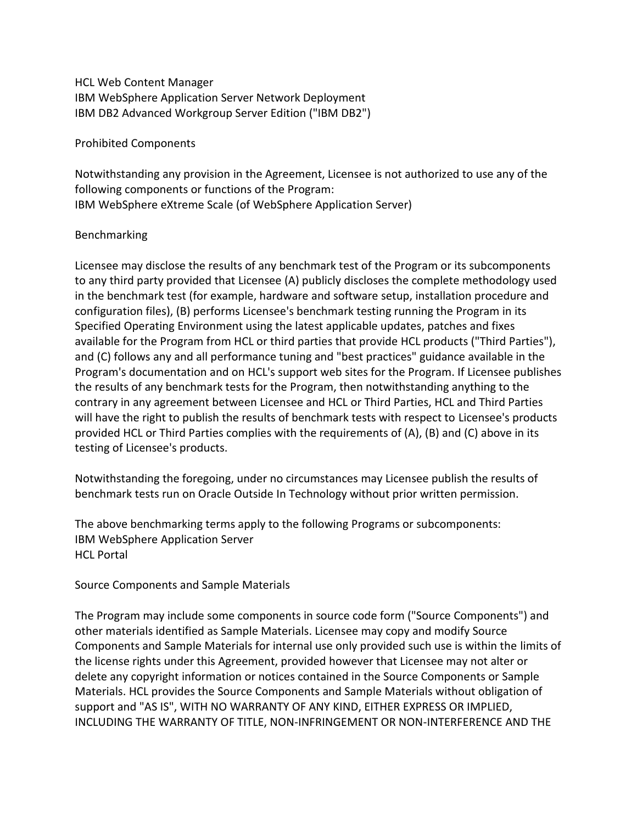HCL Web Content Manager IBM WebSphere Application Server Network Deployment IBM DB2 Advanced Workgroup Server Edition ("IBM DB2")

Prohibited Components

Notwithstanding any provision in the Agreement, Licensee is not authorized to use any of the following components or functions of the Program: IBM WebSphere eXtreme Scale (of WebSphere Application Server)

#### Benchmarking

Licensee may disclose the results of any benchmark test of the Program or its subcomponents to any third party provided that Licensee (A) publicly discloses the complete methodology used in the benchmark test (for example, hardware and software setup, installation procedure and configuration files), (B) performs Licensee's benchmark testing running the Program in its Specified Operating Environment using the latest applicable updates, patches and fixes available for the Program from HCL or third parties that provide HCL products ("Third Parties"), and (C) follows any and all performance tuning and "best practices" guidance available in the Program's documentation and on HCL's support web sites for the Program. If Licensee publishes the results of any benchmark tests for the Program, then notwithstanding anything to the contrary in any agreement between Licensee and HCL or Third Parties, HCL and Third Parties will have the right to publish the results of benchmark tests with respect to Licensee's products provided HCL or Third Parties complies with the requirements of (A), (B) and (C) above in its testing of Licensee's products.

Notwithstanding the foregoing, under no circumstances may Licensee publish the results of benchmark tests run on Oracle Outside In Technology without prior written permission.

The above benchmarking terms apply to the following Programs or subcomponents: IBM WebSphere Application Server HCL Portal

Source Components and Sample Materials

The Program may include some components in source code form ("Source Components") and other materials identified as Sample Materials. Licensee may copy and modify Source Components and Sample Materials for internal use only provided such use is within the limits of the license rights under this Agreement, provided however that Licensee may not alter or delete any copyright information or notices contained in the Source Components or Sample Materials. HCL provides the Source Components and Sample Materials without obligation of support and "AS IS", WITH NO WARRANTY OF ANY KIND, EITHER EXPRESS OR IMPLIED, INCLUDING THE WARRANTY OF TITLE, NON-INFRINGEMENT OR NON-INTERFERENCE AND THE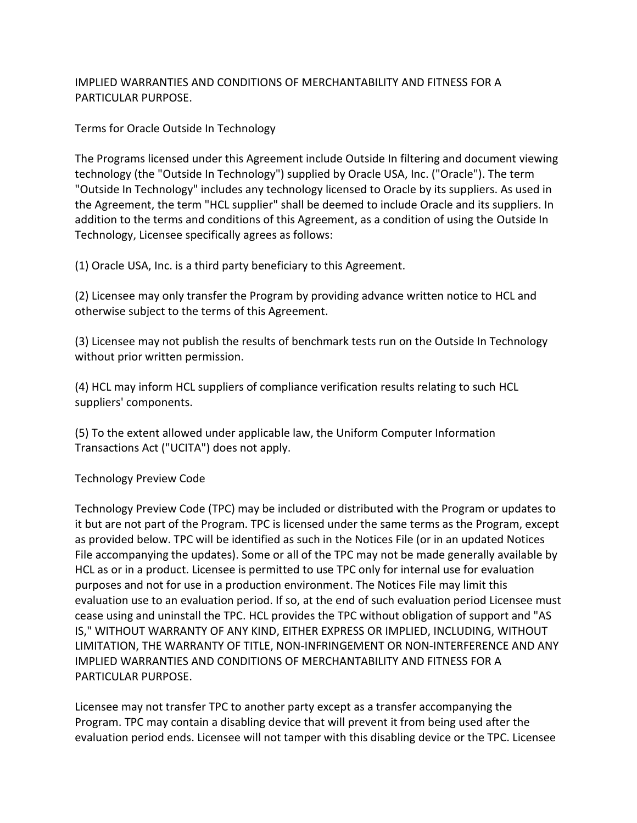IMPLIED WARRANTIES AND CONDITIONS OF MERCHANTABILITY AND FITNESS FOR A PARTICULAR PURPOSE.

Terms for Oracle Outside In Technology

The Programs licensed under this Agreement include Outside In filtering and document viewing technology (the "Outside In Technology") supplied by Oracle USA, Inc. ("Oracle"). The term "Outside In Technology" includes any technology licensed to Oracle by its suppliers. As used in the Agreement, the term "HCL supplier" shall be deemed to include Oracle and its suppliers. In addition to the terms and conditions of this Agreement, as a condition of using the Outside In Technology, Licensee specifically agrees as follows:

(1) Oracle USA, Inc. is a third party beneficiary to this Agreement.

(2) Licensee may only transfer the Program by providing advance written notice to HCL and otherwise subject to the terms of this Agreement.

(3) Licensee may not publish the results of benchmark tests run on the Outside In Technology without prior written permission.

(4) HCL may inform HCL suppliers of compliance verification results relating to such HCL suppliers' components.

(5) To the extent allowed under applicable law, the Uniform Computer Information Transactions Act ("UCITA") does not apply.

Technology Preview Code

Technology Preview Code (TPC) may be included or distributed with the Program or updates to it but are not part of the Program. TPC is licensed under the same terms as the Program, except as provided below. TPC will be identified as such in the Notices File (or in an updated Notices File accompanying the updates). Some or all of the TPC may not be made generally available by HCL as or in a product. Licensee is permitted to use TPC only for internal use for evaluation purposes and not for use in a production environment. The Notices File may limit this evaluation use to an evaluation period. If so, at the end of such evaluation period Licensee must cease using and uninstall the TPC. HCL provides the TPC without obligation of support and "AS IS," WITHOUT WARRANTY OF ANY KIND, EITHER EXPRESS OR IMPLIED, INCLUDING, WITHOUT LIMITATION, THE WARRANTY OF TITLE, NON-INFRINGEMENT OR NON-INTERFERENCE AND ANY IMPLIED WARRANTIES AND CONDITIONS OF MERCHANTABILITY AND FITNESS FOR A PARTICULAR PURPOSE.

Licensee may not transfer TPC to another party except as a transfer accompanying the Program. TPC may contain a disabling device that will prevent it from being used after the evaluation period ends. Licensee will not tamper with this disabling device or the TPC. Licensee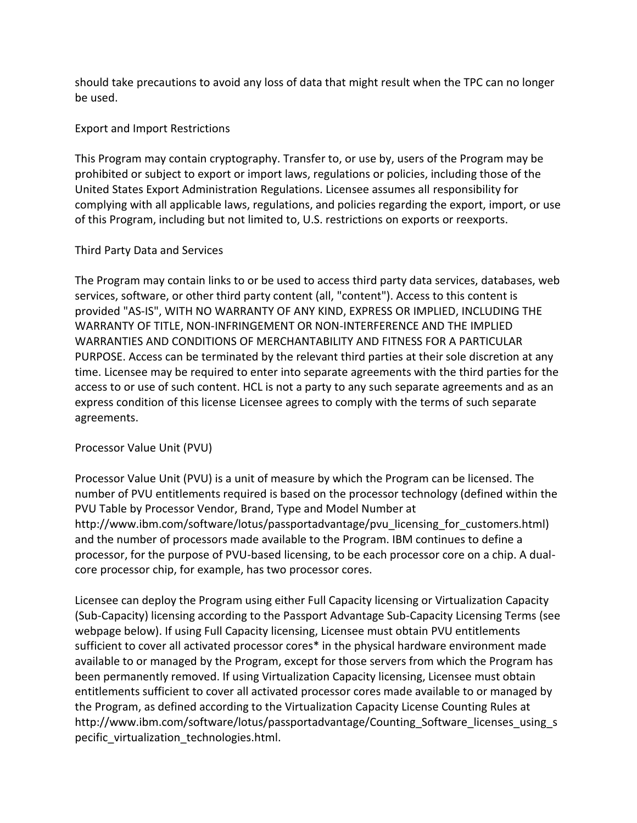should take precautions to avoid any loss of data that might result when the TPC can no longer be used.

## Export and Import Restrictions

This Program may contain cryptography. Transfer to, or use by, users of the Program may be prohibited or subject to export or import laws, regulations or policies, including those of the United States Export Administration Regulations. Licensee assumes all responsibility for complying with all applicable laws, regulations, and policies regarding the export, import, or use of this Program, including but not limited to, U.S. restrictions on exports or reexports.

### Third Party Data and Services

The Program may contain links to or be used to access third party data services, databases, web services, software, or other third party content (all, "content"). Access to this content is provided "AS-IS", WITH NO WARRANTY OF ANY KIND, EXPRESS OR IMPLIED, INCLUDING THE WARRANTY OF TITLE, NON-INFRINGEMENT OR NON-INTERFERENCE AND THE IMPLIED WARRANTIES AND CONDITIONS OF MERCHANTABILITY AND FITNESS FOR A PARTICULAR PURPOSE. Access can be terminated by the relevant third parties at their sole discretion at any time. Licensee may be required to enter into separate agreements with the third parties for the access to or use of such content. HCL is not a party to any such separate agreements and as an express condition of this license Licensee agrees to comply with the terms of such separate agreements.

# Processor Value Unit (PVU)

Processor Value Unit (PVU) is a unit of measure by which the Program can be licensed. The number of PVU entitlements required is based on the processor technology (defined within the PVU Table by Processor Vendor, Brand, Type and Model Number at http://www.ibm.com/software/lotus/passportadvantage/pvu\_licensing\_for\_customers.html) and the number of processors made available to the Program. IBM continues to define a processor, for the purpose of PVU-based licensing, to be each processor core on a chip. A dualcore processor chip, for example, has two processor cores.

Licensee can deploy the Program using either Full Capacity licensing or Virtualization Capacity (Sub-Capacity) licensing according to the Passport Advantage Sub-Capacity Licensing Terms (see webpage below). If using Full Capacity licensing, Licensee must obtain PVU entitlements sufficient to cover all activated processor cores\* in the physical hardware environment made available to or managed by the Program, except for those servers from which the Program has been permanently removed. If using Virtualization Capacity licensing, Licensee must obtain entitlements sufficient to cover all activated processor cores made available to or managed by the Program, as defined according to the Virtualization Capacity License Counting Rules at http://www.ibm.com/software/lotus/passportadvantage/Counting\_Software\_licenses\_using\_s pecific virtualization technologies.html.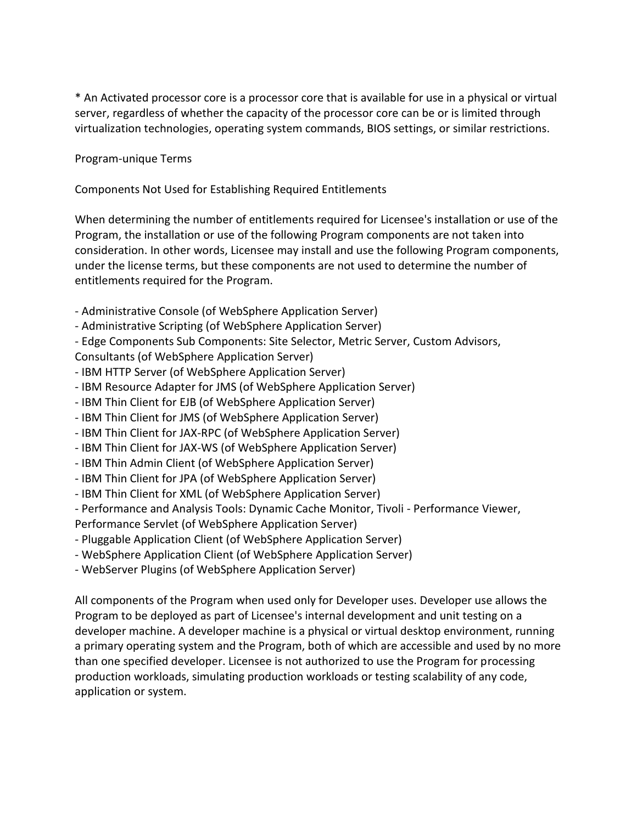\* An Activated processor core is a processor core that is available for use in a physical or virtual server, regardless of whether the capacity of the processor core can be or is limited through virtualization technologies, operating system commands, BIOS settings, or similar restrictions.

Program-unique Terms

Components Not Used for Establishing Required Entitlements

When determining the number of entitlements required for Licensee's installation or use of the Program, the installation or use of the following Program components are not taken into consideration. In other words, Licensee may install and use the following Program components, under the license terms, but these components are not used to determine the number of entitlements required for the Program.

- Administrative Console (of WebSphere Application Server)
- Administrative Scripting (of WebSphere Application Server)
- Edge Components Sub Components: Site Selector, Metric Server, Custom Advisors,
- Consultants (of WebSphere Application Server)
- IBM HTTP Server (of WebSphere Application Server)
- IBM Resource Adapter for JMS (of WebSphere Application Server)
- IBM Thin Client for EJB (of WebSphere Application Server)
- IBM Thin Client for JMS (of WebSphere Application Server)
- IBM Thin Client for JAX-RPC (of WebSphere Application Server)
- IBM Thin Client for JAX-WS (of WebSphere Application Server)
- IBM Thin Admin Client (of WebSphere Application Server)
- IBM Thin Client for JPA (of WebSphere Application Server)
- IBM Thin Client for XML (of WebSphere Application Server)

- Performance and Analysis Tools: Dynamic Cache Monitor, Tivoli - Performance Viewer,

Performance Servlet (of WebSphere Application Server)

- Pluggable Application Client (of WebSphere Application Server)
- WebSphere Application Client (of WebSphere Application Server)
- WebServer Plugins (of WebSphere Application Server)

All components of the Program when used only for Developer uses. Developer use allows the Program to be deployed as part of Licensee's internal development and unit testing on a developer machine. A developer machine is a physical or virtual desktop environment, running a primary operating system and the Program, both of which are accessible and used by no more than one specified developer. Licensee is not authorized to use the Program for processing production workloads, simulating production workloads or testing scalability of any code, application or system.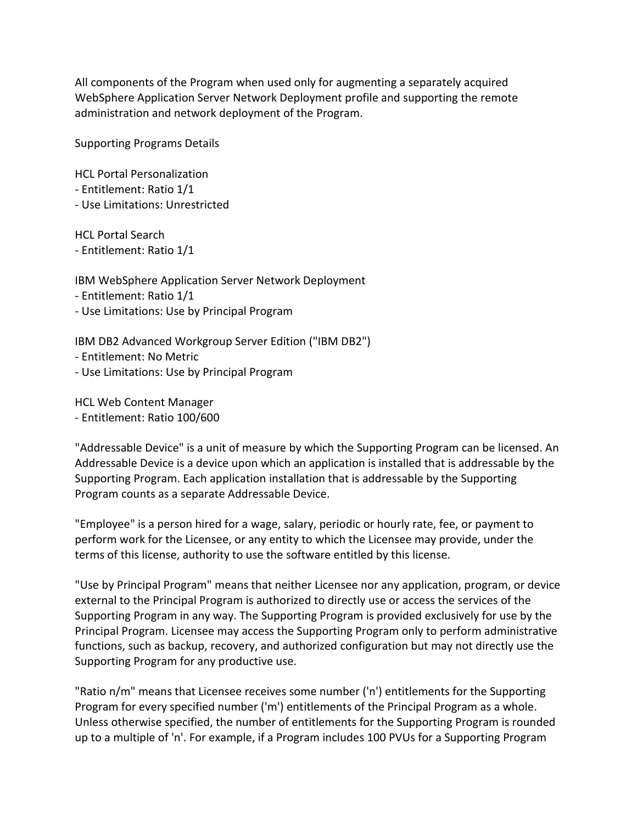All components of the Program when used only for augmenting a separately acquired WebSphere Application Server Network Deployment profile and supporting the remote administration and network deployment of the Program.

Supporting Programs Details

HCL Portal Personalization

- Entitlement: Ratio 1/1
- Use Limitations: Unrestricted

HCL Portal Search - Entitlement: Ratio 1/1

IBM WebSphere Application Server Network Deployment

- Entitlement: Ratio 1/1

- Use Limitations: Use by Principal Program

IBM DB2 Advanced Workgroup Server Edition ("IBM DB2")

- Entitlement: No Metric
- Use Limitations: Use by Principal Program

HCL Web Content Manager

- Entitlement: Ratio 100/600

"Addressable Device" is a unit of measure by which the Supporting Program can be licensed. An Addressable Device is a device upon which an application is installed that is addressable by the Supporting Program. Each application installation that is addressable by the Supporting Program counts as a separate Addressable Device.

"Employee" is a person hired for a wage, salary, periodic or hourly rate, fee, or payment to perform work for the Licensee, or any entity to which the Licensee may provide, under the terms of this license, authority to use the software entitled by this license.

"Use by Principal Program" means that neither Licensee nor any application, program, or device external to the Principal Program is authorized to directly use or access the services of the Supporting Program in any way. The Supporting Program is provided exclusively for use by the Principal Program. Licensee may access the Supporting Program only to perform administrative functions, such as backup, recovery, and authorized configuration but may not directly use the Supporting Program for any productive use.

"Ratio n/m" means that Licensee receives some number ('n') entitlements for the Supporting Program for every specified number ('m') entitlements of the Principal Program as a whole. Unless otherwise specified, the number of entitlements for the Supporting Program is rounded up to a multiple of 'n'. For example, if a Program includes 100 PVUs for a Supporting Program